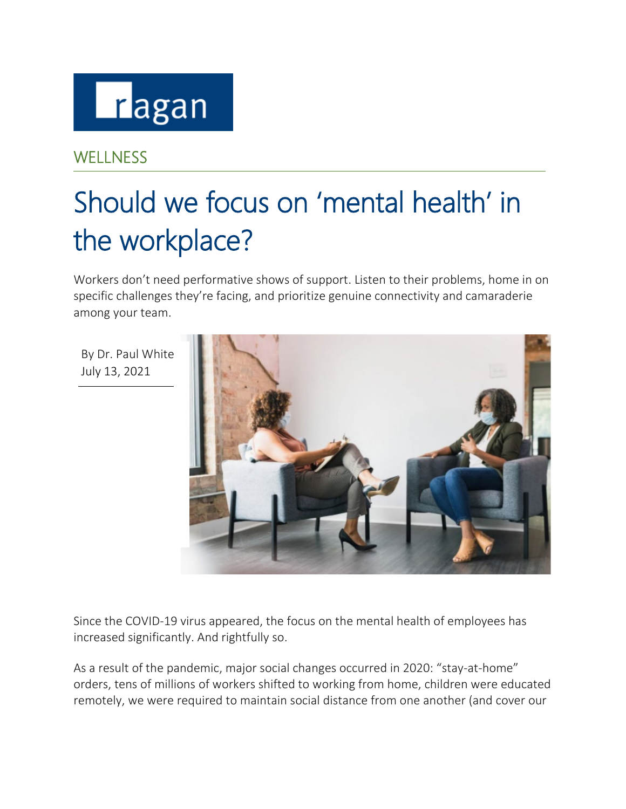

## **WELLNESS**

# Should we focus on 'mental health' in the workplace?

Workers don't need performative shows of support. Listen to their problems, home in on specific challenges they're facing, and prioritize genuine connectivity and camaraderie among your team.

By Dr. Paul White July 13, 2021



Since the COVID-19 virus appeared, the focus on the mental health of employees has increased significantly. And rightfully so.

As a result of the pandemic, major social changes occurred in 2020: "stay-at-home" orders, tens of millions of workers shifted to working from home, children were educated remotely, we were required to maintain social distance from one another (and cover our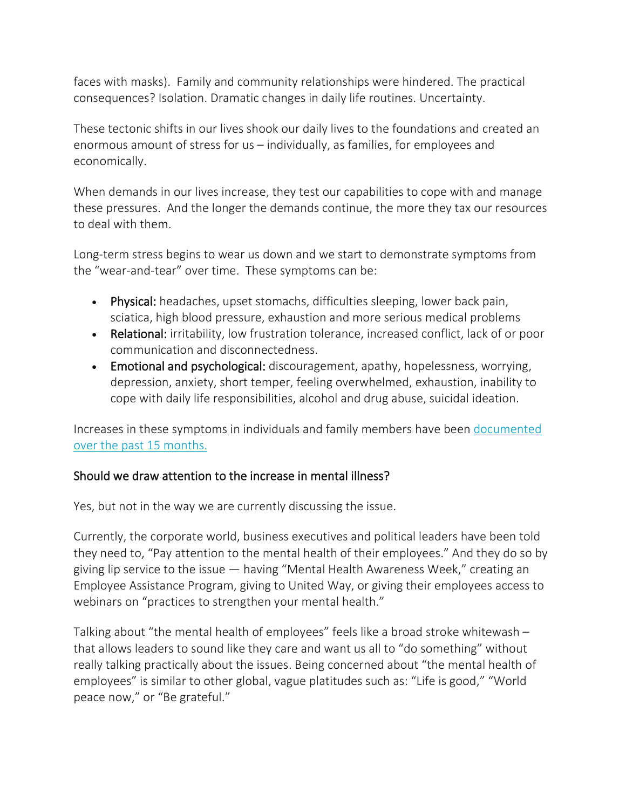faces with masks). Family and community relationships were hindered. The practical consequences? Isolation. Dramatic changes in daily life routines. Uncertainty.

These tectonic shifts in our lives shook our daily lives to the foundations and created an enormous amount of stress for us – individually, as families, for employees and economically.

When demands in our lives increase, they test our capabilities to cope with and manage these pressures. And the longer the demands continue, the more they tax our resources to deal with them.

Long-term stress begins to wear us down and we start to demonstrate symptoms from the "wear-and-tear" over time. These symptoms can be:

- Physical: headaches, upset stomachs, difficulties sleeping, lower back pain, sciatica, high blood pressure, exhaustion and more serious medical problems
- Relational: irritability, low frustration tolerance, increased conflict, lack of or poor communication and disconnectedness.
- Emotional and psychological: discouragement, apathy, hopelessness, worrying, depression, anxiety, short temper, feeling overwhelmed, exhaustion, inability to cope with daily life responsibilities, alcohol and drug abuse, suicidal ideation.

Increases in these symptoms in individuals and family members have been [documented](https://www.pewresearch.org/fact-tank/2021/03/16/many-americans-continue-to-experience-mental-health-difficulties-as-pandemic-enters-second-year/)  [over the past 15 months.](https://www.pewresearch.org/fact-tank/2021/03/16/many-americans-continue-to-experience-mental-health-difficulties-as-pandemic-enters-second-year/)

### Should we draw attention to the increase in mental illness?

Yes, but not in the way we are currently discussing the issue.

Currently, the corporate world, business executives and political leaders have been told they need to, "Pay attention to the mental health of their employees." And they do so by giving lip service to the issue — having "Mental Health Awareness Week," creating an Employee Assistance Program, giving to United Way, or giving their employees access to webinars on "practices to strengthen your mental health."

Talking about "the mental health of employees" feels like a broad stroke whitewash – that allows leaders to sound like they care and want us all to "do something" without really talking practically about the issues. Being concerned about "the mental health of employees" is similar to other global, vague platitudes such as: "Life is good," "World peace now," or "Be grateful."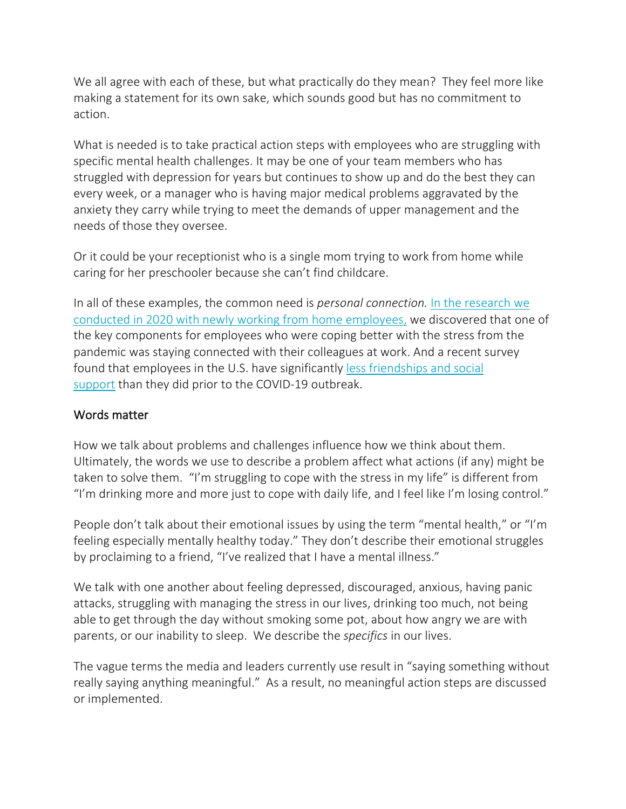We all agree with each of these, but what practically do they mean? They feel more like making a statement for its own sake, which sounds good but has no commitment to action.

What is needed is to take practical action steps with employees who are struggling with specific mental health challenges. It may be one of your team members who has struggled with depression for years but continues to show up and do the best they can every week, or a manager who is having major medical problems aggravated by the anxiety they carry while trying to meet the demands of upper management and the needs of those they oversee.

Or it could be your receptionist who is a single mom trying to work from home while caring for her preschooler because she can't find childcare.

In all of these examples, the common need is *personal connection.* [In the research we](https://www.appreciationatwork.com/wp-content/uploads/2020/05/Training-Mag-New-WFH-Employees-Private-use.pdf)  [conducted in 2020 with newly working from home employees,](https://www.appreciationatwork.com/wp-content/uploads/2020/05/Training-Mag-New-WFH-Employees-Private-use.pdf) we discovered that one of the key components for employees who were coping better with the stress from the pandemic was staying connected with their colleagues at work. And a recent survey found that employees in the U.S. have significantly [less friendships and social](https://www.americansurveycenter.org/research/the-state-of-american-friendship-change-challenges-and-loss/)  [support](https://www.americansurveycenter.org/research/the-state-of-american-friendship-change-challenges-and-loss/) than they did prior to the COVID-19 outbreak.

#### Words matter

How we talk about problems and challenges influence how we think about them. Ultimately, the words we use to describe a problem affect what actions (if any) might be taken to solve them. "I'm struggling to cope with the stress in my life" is different from "I'm drinking more and more just to cope with daily life, and I feel like I'm losing control."

People don't talk about their emotional issues by using the term "mental health," or "I'm feeling especially mentally healthy today." They don't describe their emotional struggles by proclaiming to a friend, "I've realized that I have a mental illness."

We talk with one another about feeling depressed, discouraged, anxious, having panic attacks, struggling with managing the stress in our lives, drinking too much, not being able to get through the day without smoking some pot, about how angry we are with parents, or our inability to sleep. We describe the *specifics* in our lives.

The vague terms the media and leaders currently use result in "saying something without really saying anything meaningful." As a result, no meaningful action steps are discussed or implemented.